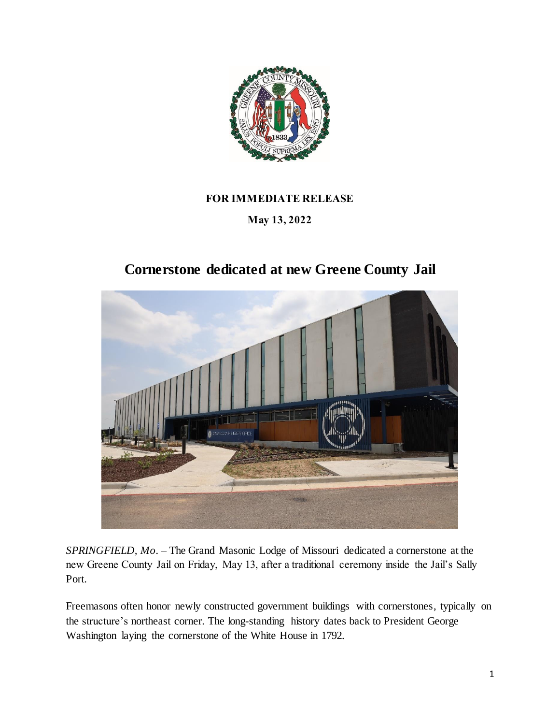

## **FOR IMMEDIATE RELEASE**

## **May 13, 2022**

## **Cornerstone dedicated at new Greene County Jail**



*SPRINGFIELD, Mo.* – The Grand Masonic Lodge of Missouri dedicated a cornerstone at the new Greene County Jail on Friday, May 13, after a traditional ceremony inside the Jail's Sally Port.

Freemasons often honor newly constructed government buildings with cornerstones, typically on the structure's northeast corner. The long-standing history dates back to President George Washington laying the cornerstone of the White House in 1792.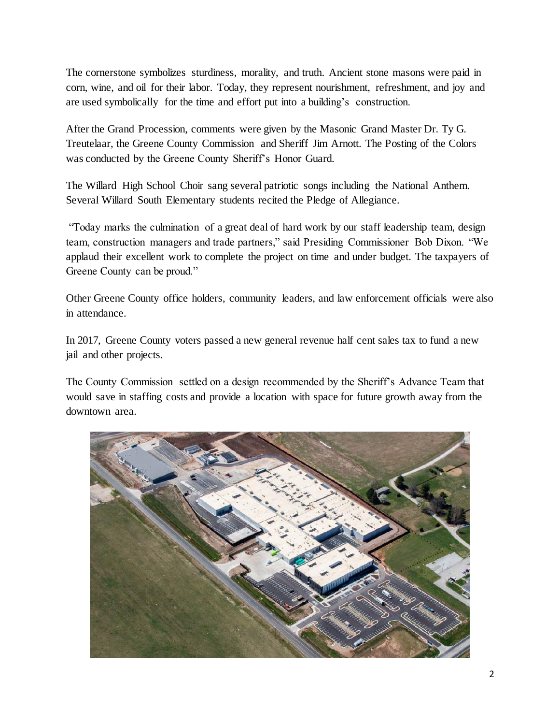The cornerstone symbolizes sturdiness, morality, and truth. Ancient stone masons were paid in corn, wine, and oil for their labor. Today, they represent nourishment, refreshment, and joy and are used symbolically for the time and effort put into a building's construction.

After the Grand Procession, comments were given by the Masonic Grand Master Dr. Ty G. Treutelaar, the Greene County Commission and Sheriff Jim Arnott. The Posting of the Colors was conducted by the Greene County Sheriff's Honor Guard.

The Willard High School Choir sang several patriotic songs including the National Anthem. Several Willard South Elementary students recited the Pledge of Allegiance.

"Today marks the culmination of a great deal of hard work by our staff leadership team, design team, construction managers and trade partners," said Presiding Commissioner Bob Dixon. "We applaud their excellent work to complete the project on time and under budget. The taxpayers of Greene County can be proud."

Other Greene County office holders, community leaders, and law enforcement officials were also in attendance.

In 2017, Greene County voters passed a new general revenue half cent sales tax to fund a new jail and other projects.

The County Commission settled on a design recommended by the Sheriff's Advance Team that would save in staffing costs and provide a location with space for future growth away from the downtown area.

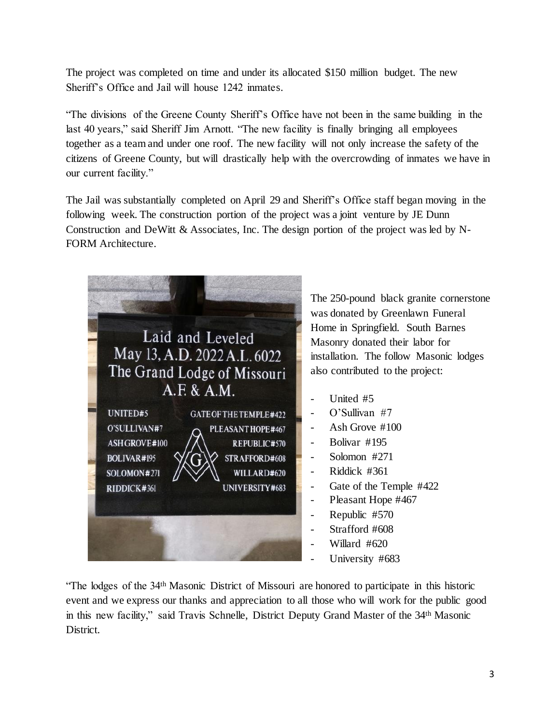The project was completed on time and under its allocated \$150 million budget. The new Sheriff's Office and Jail will house 1242 inmates.

"The divisions of the Greene County Sheriff's Office have not been in the same building in the last 40 years," said Sheriff Jim Arnott. "The new facility is finally bringing all employees together as a team and under one roof. The new facility will not only increase the safety of the citizens of Greene County, but will drastically help with the overcrowding of inmates we have in our current facility."

The Jail was substantially completed on April 29 and Sheriff's Office staff began moving in the following week. The construction portion of the project was a joint venture by JE Dunn Construction and DeWitt & Associates, Inc. The design portion of the project was led by N-FORM Architecture.



The 250-pound black granite cornerstone was donated by Greenlawn Funeral Home in Springfield. South Barnes Masonry donated their labor for installation. The follow Masonic lodges also contributed to the project:

- United #5
- O'Sullivan #7
- Ash Grove #100
- Bolivar #195
- Solomon #271
- Riddick #361
- Gate of the Temple #422
- Pleasant Hope #467
- Republic #570
- Strafford #608
- Willard #620
- University #683

"The lodges of the 34th Masonic District of Missouri are honored to participate in this historic event and we express our thanks and appreciation to all those who will work for the public good in this new facility," said Travis Schnelle, District Deputy Grand Master of the 34th Masonic District.